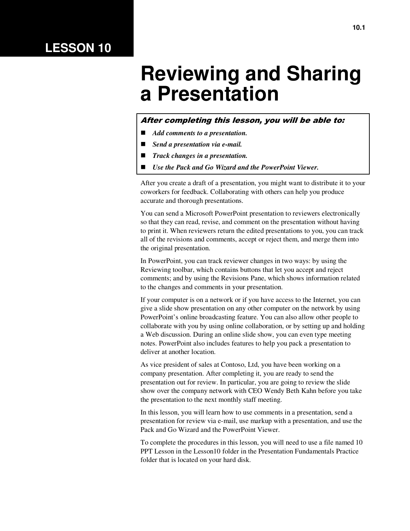#### **LESSON 10**

# **Reviewing and Sharing a Presentation**

#### After completing this lesson, you will be able to:

- *Add comments to a presentation.*
- *Send a presentation via e-mail.*
- *Track changes in a presentation.*
- *Use the Pack and Go Wizard and the PowerPoint Viewer.*

After you create a draft of a presentation, you might want to distribute it to your coworkers for feedback. Collaborating with others can help you produce accurate and thorough presentations.

You can send a Microsoft PowerPoint presentation to reviewers electronically so that they can read, revise, and comment on the presentation without having to print it. When reviewers return the edited presentations to you, you can track all of the revisions and comments, accept or reject them, and merge them into the original presentation.

In PowerPoint, you can track reviewer changes in two ways: by using the Reviewing toolbar, which contains buttons that let you accept and reject comments; and by using the Revisions Pane, which shows information related to the changes and comments in your presentation.

If your computer is on a network or if you have access to the Internet, you can give a slide show presentation on any other computer on the network by using PowerPoint's online broadcasting feature. You can also allow other people to collaborate with you by using online collaboration, or by setting up and holding a Web discussion. During an online slide show, you can even type meeting notes. PowerPoint also includes features to help you pack a presentation to deliver at another location.

As vice president of sales at Contoso, Ltd, you have been working on a company presentation. After completing it, you are ready to send the presentation out for review. In particular, you are going to review the slide show over the company network with CEO Wendy Beth Kahn before you take the presentation to the next monthly staff meeting.

In this lesson, you will learn how to use comments in a presentation, send a presentation for review via e-mail, use markup with a presentation, and use the Pack and Go Wizard and the PowerPoint Viewer.

To complete the procedures in this lesson, you will need to use a file named 10 PPT Lesson in the Lesson10 folder in the Presentation Fundamentals Practice folder that is located on your hard disk.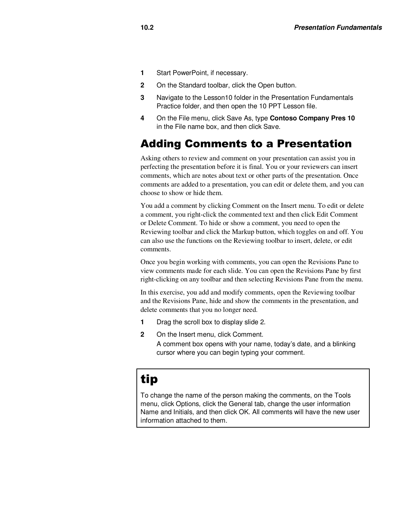- **1** Start PowerPoint, if necessary.
- **2** On the Standard toolbar, click the Open button.
- **3** Navigate to the Lesson10 folder in the Presentation Fundamentals Practice folder, and then open the 10 PPT Lesson file.
- **4** On the File menu, click Save As, type **Contoso Company Pres 10** in the File name box, and then click Save.

#### Adding Comments to a Presentation

Asking others to review and comment on your presentation can assist you in perfecting the presentation before it is final. You or your reviewers can insert comments, which are notes about text or other parts of the presentation. Once comments are added to a presentation, you can edit or delete them, and you can choose to show or hide them.

You add a comment by clicking Comment on the Insert menu. To edit or delete a comment, you right-click the commented text and then click Edit Comment or Delete Comment. To hide or show a comment, you need to open the Reviewing toolbar and click the Markup button, which toggles on and off. You can also use the functions on the Reviewing toolbar to insert, delete, or edit comments.

Once you begin working with comments, you can open the Revisions Pane to view comments made for each slide. You can open the Revisions Pane by first right-clicking on any toolbar and then selecting Revisions Pane from the menu.

In this exercise, you add and modify comments, open the Reviewing toolbar and the Revisions Pane, hide and show the comments in the presentation, and delete comments that you no longer need.

- **1** Drag the scroll box to display slide 2.
- **2** On the Insert menu, click Comment.

A comment box opens with your name, today's date, and a blinking cursor where you can begin typing your comment.

#### tip

To change the name of the person making the comments, on the Tools menu, click Options, click the General tab, change the user information Name and Initials, and then click OK. All comments will have the new user information attached to them.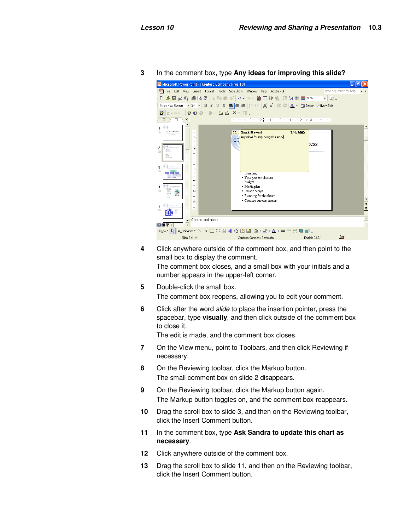

**3** In the comment box, type **Any ideas for improving this slide?**

**4** Click anywhere outside of the comment box, and then point to the small box to display the comment.

The comment box closes, and a small box with your initials and a number appears in the upper-left corner.

- **5** Double-click the small box. The comment box reopens, allowing you to edit your comment.
- **6** Click after the word slide to place the insertion pointer, press the spacebar, type **visually**, and then click outside of the comment box to close it.

The edit is made, and the comment box closes.

- **7** On the View menu, point to Toolbars, and then click Reviewing if necessary.
- **8** On the Reviewing toolbar, click the Markup button. The small comment box on slide 2 disappears.
- **9** On the Reviewing toolbar, click the Markup button again. The Markup button toggles on, and the comment box reappears.
- **10** Drag the scroll box to slide 3, and then on the Reviewing toolbar, click the Insert Comment button.
- **11** In the comment box, type **Ask Sandra to update this chart as necessary**.
- **12** Click anywhere outside of the comment box.
- **13** Drag the scroll box to slide 11, and then on the Reviewing toolbar, click the Insert Comment button.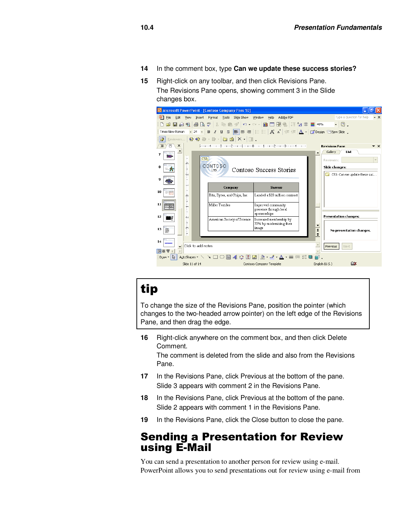- **14** In the comment box, type **Can we update these success stories?**
- **15** Right-click on any toolbar, and then click Revisions Pane. The Revisions Pane opens, showing comment 3 in the Slide changes box.



### tip

To change the size of the Revisions Pane, position the pointer (which changes to the two-headed arrow pointer) on the left edge of the Revisions Pane, and then drag the edge.

**16** Right-click anywhere on the comment box, and then click Delete Comment.

The comment is deleted from the slide and also from the Revisions Pane.

- **17** In the Revisions Pane, click Previous at the bottom of the pane. Slide 3 appears with comment 2 in the Revisions Pane.
- **18** In the Revisions Pane, click Previous at the bottom of the pane. Slide 2 appears with comment 1 in the Revisions Pane.
- **19** In the Revisions Pane, click the Close button to close the pane.

#### Sending a Presentation for Review using E-Mail

You can send a presentation to another person for review using e-mail. PowerPoint allows you to send presentations out for review using e-mail from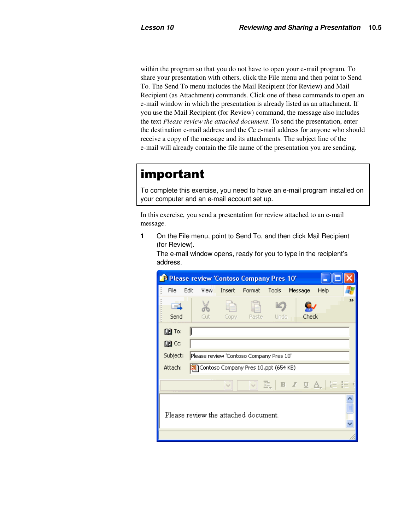within the program so that you do not have to open your e-mail program. To share your presentation with others, click the File menu and then point to Send To. The Send To menu includes the Mail Recipient (for Review) and Mail Recipient (as Attachment) commands. Click one of these commands to open an e-mail window in which the presentation is already listed as an attachment. If you use the Mail Recipient (for Review) command, the message also includes the text *Please review the attached document*. To send the presentation, enter the destination e-mail address and the Cc e-mail address for anyone who should receive a copy of the message and its attachments. The subject line of the e-mail will already contain the file name of the presentation you are sending.

#### important

To complete this exercise, you need to have an e-mail program installed on your computer and an e-mail account set up.

In this exercise, you send a presentation for review attached to an e-mail message.

**1** On the File menu, point to Send To, and then click Mail Recipient (for Review).

The e-mail window opens, ready for you to type in the recipient's address.

|                                                     | Please review 'Contoso Company Pres 10' |        |              |             |                                                                                                                            |      |    |  |
|-----------------------------------------------------|-----------------------------------------|--------|--------------|-------------|----------------------------------------------------------------------------------------------------------------------------|------|----|--|
| File                                                | Edit<br>View                            | Insert | Format Tools |             | Message                                                                                                                    | Help |    |  |
| E<br>Send                                           | Cut                                     |        | Copy Paste   | <b>Undo</b> | Check                                                                                                                      |      | XX |  |
| 图 To:                                               |                                         |        |              |             |                                                                                                                            |      |    |  |
| 图CC:                                                |                                         |        |              |             |                                                                                                                            |      |    |  |
| Subject:<br>Please review 'Contoso Company Pres 10' |                                         |        |              |             |                                                                                                                            |      |    |  |
| Attach:                                             | Contoso Company Pres 10.ppt (654 KB)    |        |              |             |                                                                                                                            |      |    |  |
|                                                     |                                         |        |              |             | $\sqrt{2}$ E $\sqrt{3}$ $\sqrt{2}$ $\sqrt{2}$ $\sqrt{2}$ $\sqrt{2}$ $\sqrt{2}$ $\sqrt{2}$ $\sqrt{2}$ $\sqrt{2}$ $\sqrt{2}$ |      |    |  |
| Please review the attached document.                |                                         |        |              |             |                                                                                                                            |      |    |  |
|                                                     |                                         |        |              |             |                                                                                                                            |      |    |  |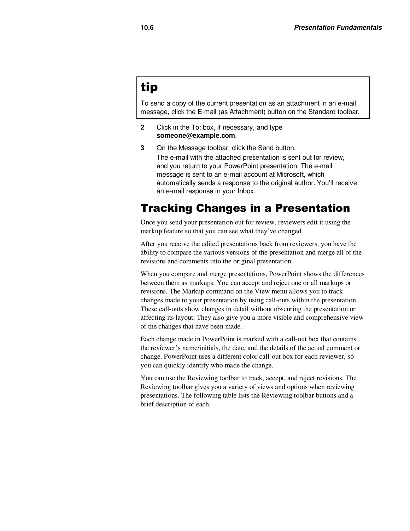#### tip

To send a copy of the current presentation as an attachment in an e-mail message, click the E-mail (as Attachment) button on the Standard toolbar.

- **2** Click in the To: box, if necessary, and type **someone@example.com**.
- **3** On the Message toolbar, click the Send button. The e-mail with the attached presentation is sent out for review, and you return to your PowerPoint presentation. The e-mail message is sent to an e-mail account at Microsoft, which automatically sends a response to the original author. You'll receive an e-mail response in your Inbox.

#### Tracking Changes in a Presentation

Once you send your presentation out for review, reviewers edit it using the markup feature so that you can see what they've changed.

After you receive the edited presentations back from reviewers, you have the ability to compare the various versions of the presentation and merge all of the revisions and comments into the original presentation.

When you compare and merge presentations, PowerPoint shows the differences between them as markups. You can accept and reject one or all markups or revisions. The Markup command on the View menu allows you to track changes made to your presentation by using call-outs within the presentation. These call-outs show changes in detail without obscuring the presentation or affecting its layout. They also give you a more visible and comprehensive view of the changes that have been made.

Each change made in PowerPoint is marked with a call-out box that contains the reviewer's name/initials, the date, and the details of the actual comment or change. PowerPoint uses a different color call-out box for each reviewer, so you can quickly identify who made the change.

You can use the Reviewing toolbar to track, accept, and reject revisions. The Reviewing toolbar gives you a variety of views and options when reviewing presentations. The following table lists the Reviewing toolbar buttons and a brief description of each.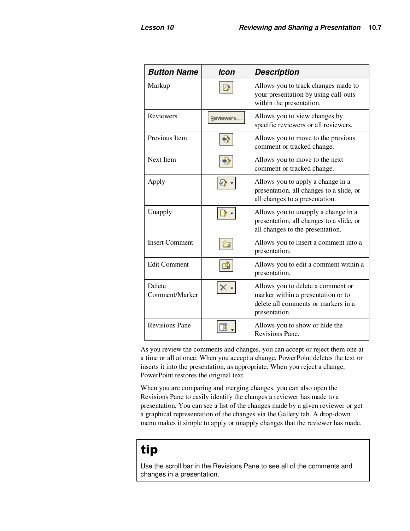| <b>Button Name</b>       | Icon | <b>Description</b>                                                                                                              |  |  |
|--------------------------|------|---------------------------------------------------------------------------------------------------------------------------------|--|--|
| Markup                   |      | Allows you to track changes made to<br>your presentation by using call-outs<br>within the presentation.                         |  |  |
| Reviewers<br>Reviewers   |      | Allows you to view changes by<br>specific reviewers or all reviewers.                                                           |  |  |
| Previous Item            |      | Allows you to move to the previous<br>comment or tracked change.                                                                |  |  |
| Next Item                |      | Allows you to move to the next<br>comment or tracked change.                                                                    |  |  |
| Apply                    |      | Allows you to apply a change in a<br>presentation, all changes to a slide, or<br>all changes to a presentation.                 |  |  |
| Unapply                  |      | Allows you to unapply a change in a<br>presentation, all changes to a slide, or<br>all changes to the presentation.             |  |  |
| <b>Insert Comment</b>    |      | Allows you to insert a comment into a<br>presentation.                                                                          |  |  |
| <b>Edit Comment</b>      |      | Allows you to edit a comment within a<br>presentation.                                                                          |  |  |
| Delete<br>Comment/Marker |      | Allows you to delete a comment or<br>marker within a presentation or to<br>delete all comments or markers in a<br>presentation. |  |  |
| <b>Revisions Pane</b>    |      | Allows you to show or hide the<br>Revisions Pane.                                                                               |  |  |

As you review the comments and changes, you can accept or reject them one at a time or all at once. When you accept a change, PowerPoint deletes the text or inserts it into the presentation, as appropriate. When you reject a change, PowerPoint restores the original text.

When you are comparing and merging changes, you can also open the Revisions Pane to easily identify the changes a reviewer has made to a presentation. You can see a list of the changes made by a given reviewer or get a graphical representation of the changes via the Gallery tab. A drop-down menu makes it simple to apply or unapply changes that the reviewer has made.

## tip

Use the scroll bar in the Revisions Pane to see all of the comments and changes in a presentation.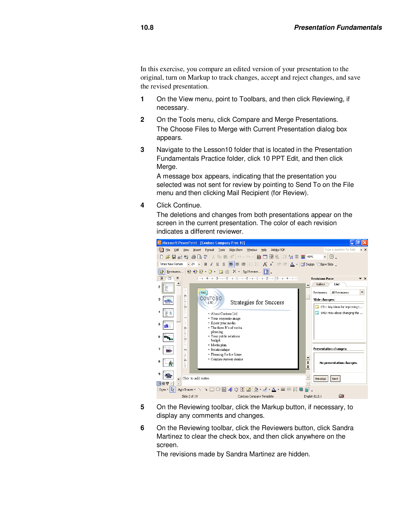In this exercise, you compare an edited version of your presentation to the original, turn on Markup to track changes, accept and reject changes, and save the revised presentation.

- **1** On the View menu, point to Toolbars, and then click Reviewing, if necessary.
- **2** On the Tools menu, click Compare and Merge Presentations. The Choose Files to Merge with Current Presentation dialog box appears.
- **3** Navigate to the Lesson10 folder that is located in the Presentation Fundamentals Practice folder, click 10 PPT Edit, and then click Merge.

A message box appears, indicating that the presentation you selected was not sent for review by pointing to Send To on the File menu and then clicking Mail Recipient (for Review).

**4** Click Continue.

The deletions and changes from both presentations appear on the screen in the current presentation. The color of each revision indicates a different reviewer.



- **5** On the Reviewing toolbar, click the Markup button, if necessary, to display any comments and changes.
- **6** On the Reviewing toolbar, click the Reviewers button, click Sandra Martinez to clear the check box, and then click anywhere on the screen.

The revisions made by Sandra Martinez are hidden.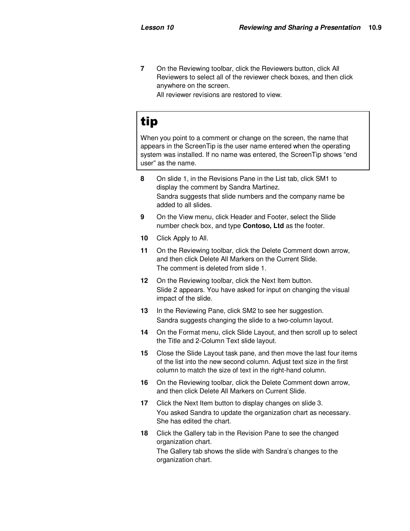**7** On the Reviewing toolbar, click the Reviewers button, click All Reviewers to select all of the reviewer check boxes, and then click anywhere on the screen.

All reviewer revisions are restored to view.

### tip

When you point to a comment or change on the screen, the name that appears in the ScreenTip is the user name entered when the operating system was installed. If no name was entered, the ScreenTip shows "end user" as the name.

- **8** On slide 1, in the Revisions Pane in the List tab, click SM1 to display the comment by Sandra Martinez. Sandra suggests that slide numbers and the company name be added to all slides.
- **9** On the View menu, click Header and Footer, select the Slide number check box, and type **Contoso, Ltd** as the footer.
- **10** Click Apply to All.
- **11** On the Reviewing toolbar, click the Delete Comment down arrow, and then click Delete All Markers on the Current Slide. The comment is deleted from slide 1.
- **12** On the Reviewing toolbar, click the Next Item button. Slide 2 appears. You have asked for input on changing the visual impact of the slide.
- **13** In the Reviewing Pane, click SM2 to see her suggestion. Sandra suggests changing the slide to a two-column layout.
- **14** On the Format menu, click Slide Layout, and then scroll up to select the Title and 2-Column Text slide layout.
- **15** Close the Slide Layout task pane, and then move the last four items of the list into the new second column. Adjust text size in the first column to match the size of text in the right-hand column.
- **16** On the Reviewing toolbar, click the Delete Comment down arrow, and then click Delete All Markers on Current Slide.
- **17** Click the Next Item button to display changes on slide 3. You asked Sandra to update the organization chart as necessary. She has edited the chart.
- **18** Click the Gallery tab in the Revision Pane to see the changed organization chart. The Gallery tab shows the slide with Sandra's changes to the organization chart.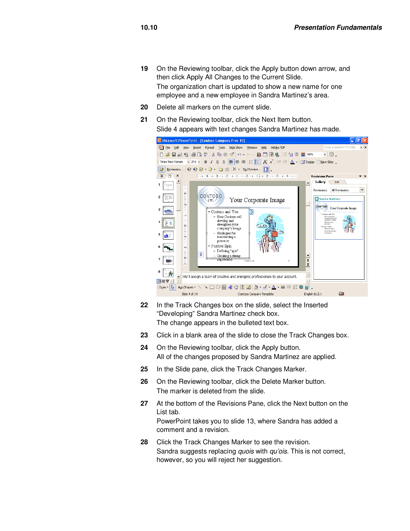- **19** On the Reviewing toolbar, click the Apply button down arrow, and then click Apply All Changes to the Current Slide. The organization chart is updated to show a new name for one employee and a new employee in Sandra Martinez's area.
- **20** Delete all markers on the current slide.
- **21** On the Reviewing toolbar, click the Next Item button. Slide 4 appears with text changes Sandra Martinez has made.



- **22** In the Track Changes box on the slide, select the Inserted "Developing" Sandra Martinez check box. The change appears in the bulleted text box.
- **23** Click in a blank area of the slide to close the Track Changes box.
- **24** On the Reviewing toolbar, click the Apply button. All of the changes proposed by Sandra Martinez are applied.
- **25** In the Slide pane, click the Track Changes Marker.
- **26** On the Reviewing toolbar, click the Delete Marker button. The marker is deleted from the slide.
- **27** At the bottom of the Revisions Pane, click the Next button on the List tab.

PowerPoint takes you to slide 13, where Sandra has added a comment and a revision.

**28** Click the Track Changes Marker to see the revision. Sandra suggests replacing *quois* with *qu'ois*. This is not correct, however, so you will reject her suggestion.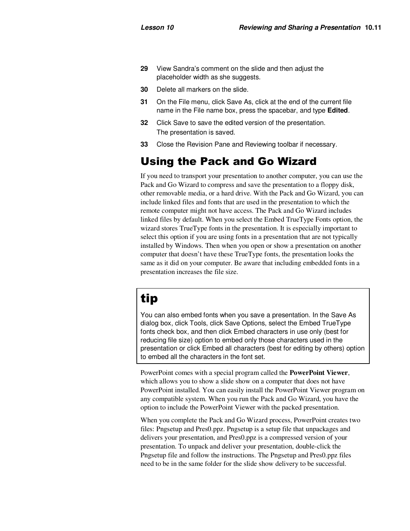- **29** View Sandra's comment on the slide and then adjust the placeholder width as she suggests.
- **30** Delete all markers on the slide.
- **31** On the File menu, click Save As, click at the end of the current file name in the File name box, press the spacebar, and type **Edited**.
- **32** Click Save to save the edited version of the presentation. The presentation is saved.
- **33** Close the Revision Pane and Reviewing toolbar if necessary.

#### Using the Pack and Go Wizard

If you need to transport your presentation to another computer, you can use the Pack and Go Wizard to compress and save the presentation to a floppy disk, other removable media, or a hard drive. With the Pack and Go Wizard, you can include linked files and fonts that are used in the presentation to which the remote computer might not have access. The Pack and Go Wizard includes linked files by default. When you select the Embed TrueType Fonts option, the wizard stores TrueType fonts in the presentation. It is especially important to select this option if you are using fonts in a presentation that are not typically installed by Windows. Then when you open or show a presentation on another computer that doesn't have these TrueType fonts, the presentation looks the same as it did on your computer. Be aware that including embedded fonts in a presentation increases the file size.

### tip

You can also embed fonts when you save a presentation. In the Save As dialog box, click Tools, click Save Options, select the Embed TrueType fonts check box, and then click Embed characters in use only (best for reducing file size) option to embed only those characters used in the presentation or click Embed all characters (best for editing by others) option to embed all the characters in the font set.

PowerPoint comes with a special program called the **PowerPoint Viewer**, which allows you to show a slide show on a computer that does not have PowerPoint installed. You can easily install the PowerPoint Viewer program on any compatible system. When you run the Pack and Go Wizard, you have the option to include the PowerPoint Viewer with the packed presentation.

When you complete the Pack and Go Wizard process, PowerPoint creates two files: Pngsetup and Pres0.ppz. Pngsetup is a setup file that unpackages and delivers your presentation, and Pres0.ppz is a compressed version of your presentation. To unpack and deliver your presentation, double-click the Pngsetup file and follow the instructions. The Pngsetup and Pres0.ppz files need to be in the same folder for the slide show delivery to be successful.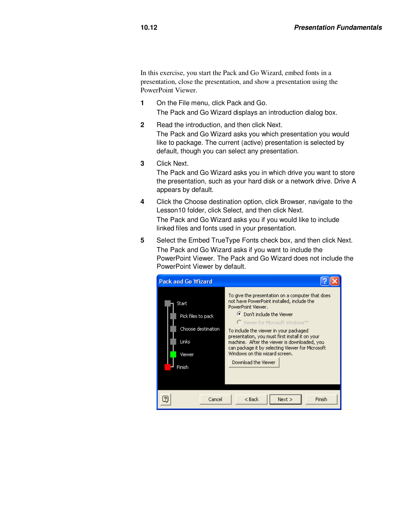In this exercise, you start the Pack and Go Wizard, embed fonts in a presentation, close the presentation, and show a presentation using the PowerPoint Viewer.

- **1** On the File menu, click Pack and Go. The Pack and Go Wizard displays an introduction dialog box.
- **2** Read the introduction, and then click Next.

The Pack and Go Wizard asks you which presentation you would like to package. The current (active) presentation is selected by default, though you can select any presentation.

**3** Click Next.

The Pack and Go Wizard asks you in which drive you want to store the presentation, such as your hard disk or a network drive. Drive A appears by default.

- **4** Click the Choose destination option, click Browser, navigate to the Lesson10 folder, click Select, and then click Next. The Pack and Go Wizard asks you if you would like to include linked files and fonts used in your presentation.
- **5** Select the Embed TrueType Fonts check box, and then click Next. The Pack and Go Wizard asks if you want to include the PowerPoint Viewer. The Pack and Go Wizard does not include the PowerPoint Viewer by default.

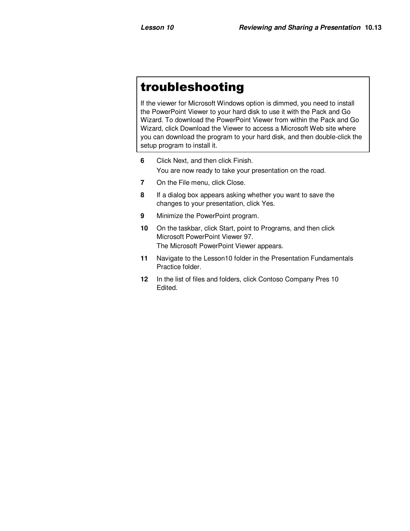### troubleshooting

If the viewer for Microsoft Windows option is dimmed, you need to install the PowerPoint Viewer to your hard disk to use it with the Pack and Go Wizard. To download the PowerPoint Viewer from within the Pack and Go Wizard, click Download the Viewer to access a Microsoft Web site where you can download the program to your hard disk, and then double-click the setup program to install it.

- **6** Click Next, and then click Finish. You are now ready to take your presentation on the road.
- **7** On the File menu, click Close.
- **8** If a dialog box appears asking whether you want to save the changes to your presentation, click Yes.
- **9** Minimize the PowerPoint program.
- **10** On the taskbar, click Start, point to Programs, and then click Microsoft PowerPoint Viewer 97. The Microsoft PowerPoint Viewer appears.
- **11** Navigate to the Lesson10 folder in the Presentation Fundamentals Practice folder.
- **12** In the list of files and folders, click Contoso Company Pres 10 Edited.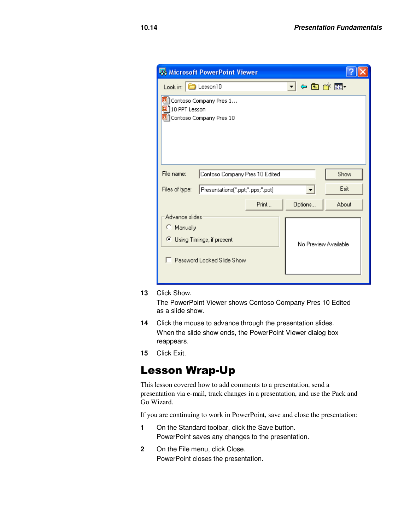| <b>W.</b> Microsoft PowerPoint Viewer                                                            |                      |       |
|--------------------------------------------------------------------------------------------------|----------------------|-------|
| Look in: <b>C</b> Lesson10                                                                       | ▼ ← 白 a* 丽・          |       |
| Contoso Company Pres 1<br>10 PPT Lesson<br><b>QE</b> Contoso Company Pres 10                     |                      |       |
| File name:<br>Contoso Company Pres 10 Edited                                                     |                      | Show  |
| Files of type:<br>Presentations(".ppt;".pps;".pot)                                               |                      | Exit  |
| Print                                                                                            | Options              | About |
| Advance slides<br>C Manually<br><b>C</b> Using Timings, if present<br>Password Locked Slide Show | No Preview Available |       |

**13** Click Show.

The PowerPoint Viewer shows Contoso Company Pres 10 Edited as a slide show.

- **14** Click the mouse to advance through the presentation slides. When the slide show ends, the PowerPoint Viewer dialog box reappears.
- **15** Click Exit.

#### Lesson Wrap-Up

This lesson covered how to add comments to a presentation, send a presentation via e-mail, track changes in a presentation, and use the Pack and Go Wizard.

If you are continuing to work in PowerPoint, save and close the presentation:

- **1** On the Standard toolbar, click the Save button. PowerPoint saves any changes to the presentation.
- 2 On the File menu, click Close. PowerPoint closes the presentation.